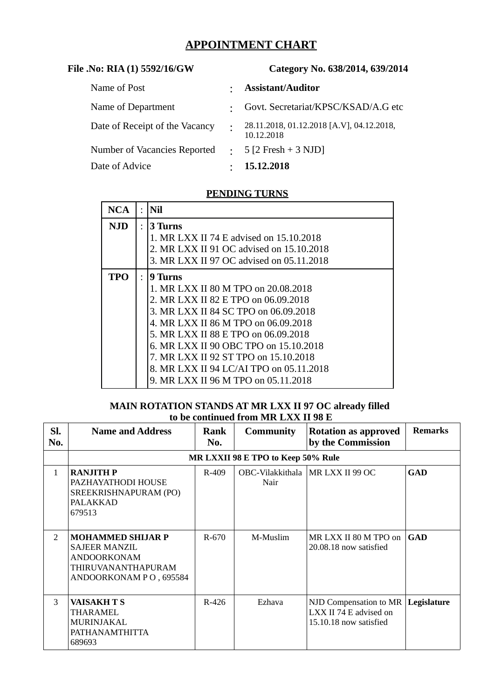# **APPOINTMENT CHART**

| File .No: RIA (1) 5592/16/GW   | Category No. 638/2014, 639/2014 |                                                         |  |  |
|--------------------------------|---------------------------------|---------------------------------------------------------|--|--|
| Name of Post                   |                                 | <b>Assistant/Auditor</b>                                |  |  |
| Name of Department             |                                 | Govt. Secretariat/KPSC/KSAD/A.G etc                     |  |  |
| Date of Receipt of the Vacancy | $\ddot{\cdot}$                  | 28.11.2018, 01.12.2018 [A.V], 04.12.2018,<br>10.12.2018 |  |  |
| Number of Vacancies Reported   | $\bullet$ .                     | $5$ [2 Fresh + 3 NJD]                                   |  |  |
| Date of Advice                 |                                 | 15.12.2018                                              |  |  |

# **PENDING TURNS**

| <b>NCA</b> | $\bullet$ | Nil                                                                                                                                                                                                                                                                                                                                                                            |
|------------|-----------|--------------------------------------------------------------------------------------------------------------------------------------------------------------------------------------------------------------------------------------------------------------------------------------------------------------------------------------------------------------------------------|
| NJD        | $\bullet$ | 3 Turns<br>1. MR LXX II 74 E advised on 15.10.2018<br>2. MR LXX II 91 OC advised on 15.10.2018<br>3. MR LXX II 97 OC advised on 05.11.2018                                                                                                                                                                                                                                     |
| TPO        | $\bullet$ | 9 Turns<br>1. MR LXX II 80 M TPO on 20.08.2018<br>2. MR LXX II 82 E TPO on 06.09.2018<br>3. MR LXX II 84 SC TPO on 06.09.2018<br>4. MR LXX II 86 M TPO on 06.09.2018<br>5. MR LXX II 88 E TPO on 06.09.2018<br>6. MR LXX II 90 OBC TPO on 15.10.2018<br>7. MR LXX II 92 ST TPO on 15.10.2018<br>8. MR LXX II 94 LC/AI TPO on 05.11.2018<br>9. MR LXX II 96 M TPO on 05.11.2018 |

## **MAIN ROTATION STANDS AT MR LXX II 97 OC already filled to be continued from MR LXX II 98 E**

| SI.<br>No.   | <b>Name and Address</b>                                                                                                       | Rank<br>No. | <b>Community</b> | <b>Rotation as approved</b><br>by the Commission                           | <b>Remarks</b> |  |  |
|--------------|-------------------------------------------------------------------------------------------------------------------------------|-------------|------------------|----------------------------------------------------------------------------|----------------|--|--|
|              | MR LXXII 98 E TPO to Keep 50% Rule                                                                                            |             |                  |                                                                            |                |  |  |
| $\mathbf{1}$ | <b>RANJITH P</b><br>PAZHAYATHODI HOUSE<br>SREEKRISHNAPURAM (PO)<br><b>PALAKKAD</b><br>679513                                  | $R-409$     | Nair             | OBC-Vilakkithala   MR LXX II 99 OC                                         | GAD            |  |  |
| 2            | <b>MOHAMMED SHIJAR P</b><br><b>SAJEER MANZIL</b><br><b>ANDOORKONAM</b><br><b>THIRUVANANTHAPURAM</b><br>ANDOORKONAM PO, 695584 | R-670       | M-Muslim         | MRLXX II 80 M TPO on<br>20.08.18 now satisfied                             | <b>GAD</b>     |  |  |
| 3            | <b>VAISAKH T S</b><br>THARAMEL<br>MURINJAKAL<br><b>PATHANAMTHITTA</b><br>689693                                               | $R-426$     | Ezhava           | NJD Compensation to MR<br>LXX II 74 E advised on<br>15.10.18 now satisfied | Legislature    |  |  |